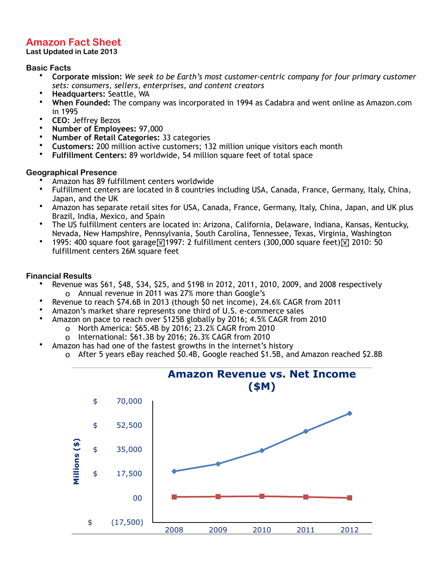# **Amazon Fact Sheet**

**Last Updated in Late 2013**

#### **Basic Facts**

- **Corporate mission:** *We seek to be Earth's most customer-centric company for four primary customer sets: consumers, sellers, enterprises, and content creators*
- **Headquarters:** Seattle, WA
- **When Founded:** The company was incorporated in 1994 as Cadabra and went online as Amazon.com in 1995
- **CEO:** Jeffrey Bezos
- **Number of Employees:** 97,000
- **Number of Retail Categories:** 33 categories
- **Customers:** 200 million active customers; 132 million unique visitors each month
- **Fulfillment Centers:** 89 worldwide, 54 million square feet of total space

## **Geographical Presence**

- Amazon has 89 fulfillment centers worldwide
- Fulfillment centers are located in 8 countries including USA, Canada, France, Germany, Italy, China, Japan, and the UK
- Amazon has separate retail sites for USA, Canada, France, Germany, Italy, China, Japan, and UK plus Brazil, India, Mexico, and Spain
- The US fulfillment centers are located in: Arizona, California, Delaware, Indiana, Kansas, Kentucky, Nevada, New Hampshire, Pennsylvania, South Carolina, Tennessee, Texas, Virginia, Washington
- 1995: 400 square foot garage $\boxed{\mathbb{N}}$ 1997: 2 fulfillment centers (300,000 square feet) $\boxed{\mathbb{N}}$  2010: 50 fulfillment centers 26M square feet

## **Financial Results**

- Revenue was \$61, \$48, \$34, \$25, and \$19B in 2012, 2011, 2010, 2009, and 2008 respectively o Annual revenue in 2011 was 27% more than Google's
- Revenue to reach \$74.6B in 2013 (though \$0 net income), 24.6% CAGR from 2011
- Amazon's market share represents one third of U.S. e-commerce sales
- Amazon on pace to reach over \$125B globally by 2016; 4.5% CAGR from 2010
	- o North America: \$65.4B by 2016; 23.2% CAGR from 2010
	- o International: \$61.3B by 2016; 26.3% CAGR from 2010
- Amazon has had one of the fastest growths in the internet's history
	- o After 5 years eBay reached \$0.4B, Google reached \$1.5B, and Amazon reached \$2.8B

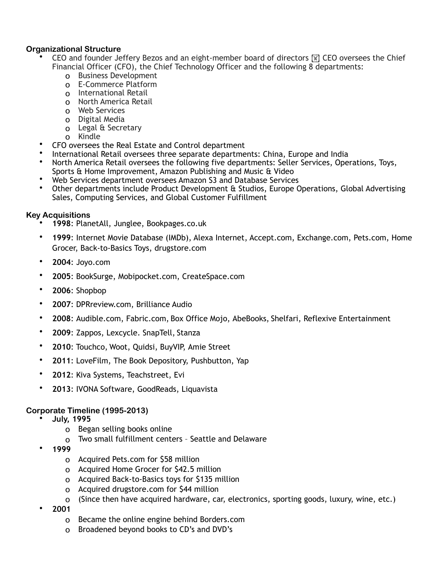## **Organizational Structure**

- CEO and founder Jeffery Bezos and an eight-member board of directors  $\mathbb{N}$  CEO oversees the Chief Financial Officer (CFO), the Chief Technology Officer and the following 8 departments:
	- o Business Development
	- o E-Commerce Platform
	- o International Retail
	- o North America Retail
	- o Web Services
	- o Digital Media
	- o Legal & Secretary
	- o Kindle
- CFO oversees the Real Estate and Control department
- International Retail oversees three separate departments: China, Europe and India
- North America Retail oversees the following five departments: Seller Services, Operations, Toys, Sports & Home Improvement, Amazon Publishing and Music & Video
- Web Services department oversees Amazon S3 and Database Services
- Other departments include Product Development & Studios, Europe Operations, Global Advertising Sales, Computing Services, and Global Customer Fulfillment

## **Key Acquisitions**

- **1998**: PlanetAll, Junglee, Bookpages.co.uk
- **1999**: Internet Movie Database (IMDb), Alexa Internet, Accept.com, Exchange.com, Pets.com, Home Grocer, Back-to-Basics Toys, drugstore.com
- **2004**: Joyo.com
- **2005**: BookSurge, Mobipocket.com, CreateSpace.com
- **2006**: Shopbop
- **2007**: DPRreview.com, Brilliance Audio
- **2008**: Audible.com, Fabric.com, Box Office Mojo, AbeBooks, Shelfari, Reflexive Entertainment
- **2009**: Zappos, Lexcycle. SnapTell, Stanza
- **2010**: Touchco, Woot, Quidsi, BuyVIP, Amie Street
- **2011**: LoveFilm, The Book Depository, Pushbutton, Yap
- **2012**: Kiva Systems, Teachstreet, Evi
- **2013**: IVONA Software, GoodReads, Liquavista

## **Corporate Timeline (1995-2013)**

- **July, 1995** 
	- o Began selling books online
	- o Two small fulfillment centers Seattle and Delaware
- **1999** 
	- o Acquired Pets.com for \$58 million
	- o Acquired Home Grocer for \$42.5 million
	- o Acquired Back-to-Basics toys for \$135 million
	- o Acquired drugstore.com for \$44 million
	- o (Since then have acquired hardware, car, electronics, sporting goods, luxury, wine, etc.)
- **2001** 
	- o Became the online engine behind Borders.com
	- o Broadened beyond books to CD's and DVD's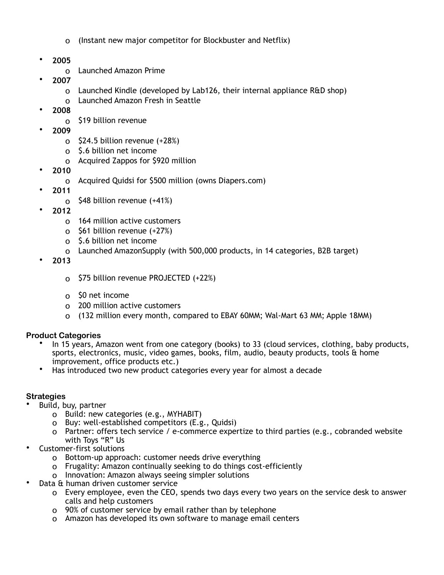- o (Instant new major competitor for Blockbuster and Netflix)
- **2005** 
	- o Launched Amazon Prime
- **2007** 
	- o Launched Kindle (developed by Lab126, their internal appliance R&D shop)
	- o Launched Amazon Fresh in Seattle
- **2008** 
	- o \$19 billion revenue
- **2009** 
	- o \$24.5 billion revenue (+28%)
	- o \$.6 billion net income
	- o Acquired Zappos for \$920 million
- **2010** 
	- o Acquired Quidsi for \$500 million (owns Diapers.com)
- **2011** 
	- o \$48 billion revenue (+41%)
- **2012** 
	- o 164 million active customers
	- o \$61 billion revenue (+27%)
	- o \$.6 billion net income
	- o Launched AmazonSupply (with 500,000 products, in 14 categories, B2B target)
- **2013** 
	- o \$75 billion revenue PROJECTED (+22%)
	- o \$0 net income
	- o 200 million active customers
	- o (132 million every month, compared to EBAY 60MM; Wal-Mart 63 MM; Apple 18MM)

## **Product Categories**

- In 15 years, Amazon went from one category (books) to 33 (cloud services, clothing, baby products, sports, electronics, music, video games, books, film, audio, beauty products, tools & home improvement, office products etc.)
- Has introduced two new product categories every year for almost a decade

#### **Strategies**

- Build, buy, partner
	- o Build: new categories (e.g., MYHABIT)
	- o Buy: well-established competitors (E.g., Quidsi)
	- o Partner: offers tech service / e-commerce expertize to third parties (e.g., cobranded website with Toys "R" Us
- Customer-first solutions
	- o Bottom-up approach: customer needs drive everything
	- o Frugality: Amazon continually seeking to do things cost-efficiently
	- o Innovation: Amazon always seeing simpler solutions
- Data & human driven customer service
	- o Every employee, even the CEO, spends two days every two years on the service desk to answer calls and help customers
	- o 90% of customer service by email rather than by telephone
	- o Amazon has developed its own software to manage email centers